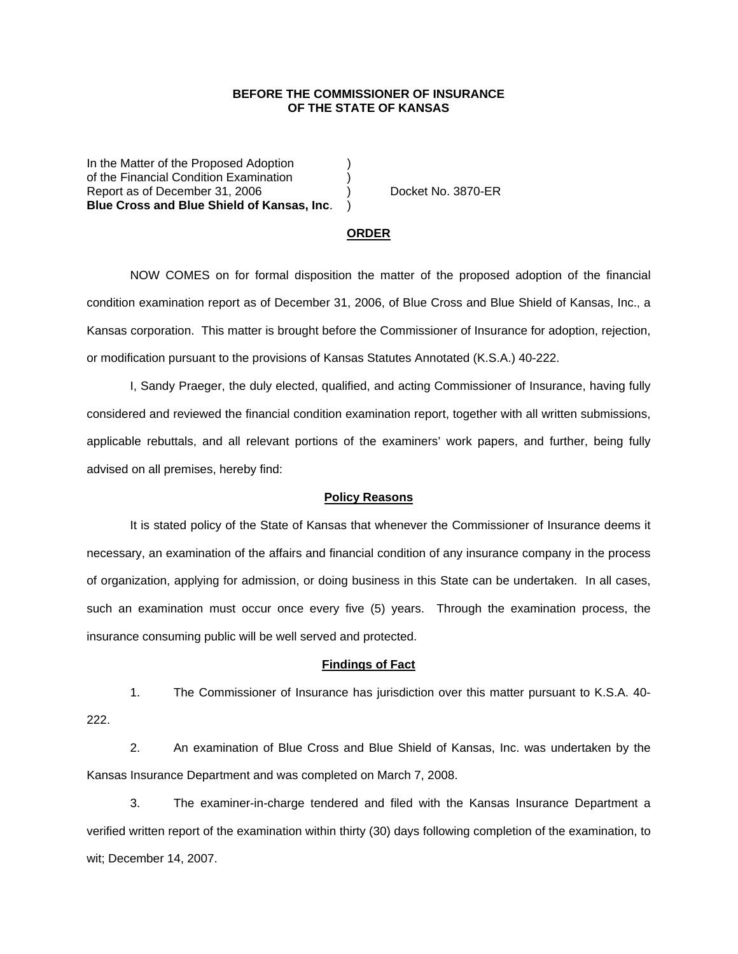## **BEFORE THE COMMISSIONER OF INSURANCE OF THE STATE OF KANSAS**

In the Matter of the Proposed Adoption of the Financial Condition Examination ) Report as of December 31, 2006 (a) Docket No. 3870-ER **Blue Cross and Blue Shield of Kansas, Inc**. )

#### **ORDER**

 NOW COMES on for formal disposition the matter of the proposed adoption of the financial condition examination report as of December 31, 2006, of Blue Cross and Blue Shield of Kansas, Inc., a Kansas corporation. This matter is brought before the Commissioner of Insurance for adoption, rejection, or modification pursuant to the provisions of Kansas Statutes Annotated (K.S.A.) 40-222.

 I, Sandy Praeger, the duly elected, qualified, and acting Commissioner of Insurance, having fully considered and reviewed the financial condition examination report, together with all written submissions, applicable rebuttals, and all relevant portions of the examiners' work papers, and further, being fully advised on all premises, hereby find:

### **Policy Reasons**

 It is stated policy of the State of Kansas that whenever the Commissioner of Insurance deems it necessary, an examination of the affairs and financial condition of any insurance company in the process of organization, applying for admission, or doing business in this State can be undertaken. In all cases, such an examination must occur once every five (5) years. Through the examination process, the insurance consuming public will be well served and protected.

#### **Findings of Fact**

 1. The Commissioner of Insurance has jurisdiction over this matter pursuant to K.S.A. 40- 222.

 2. An examination of Blue Cross and Blue Shield of Kansas, Inc. was undertaken by the Kansas Insurance Department and was completed on March 7, 2008.

 3. The examiner-in-charge tendered and filed with the Kansas Insurance Department a verified written report of the examination within thirty (30) days following completion of the examination, to wit; December 14, 2007.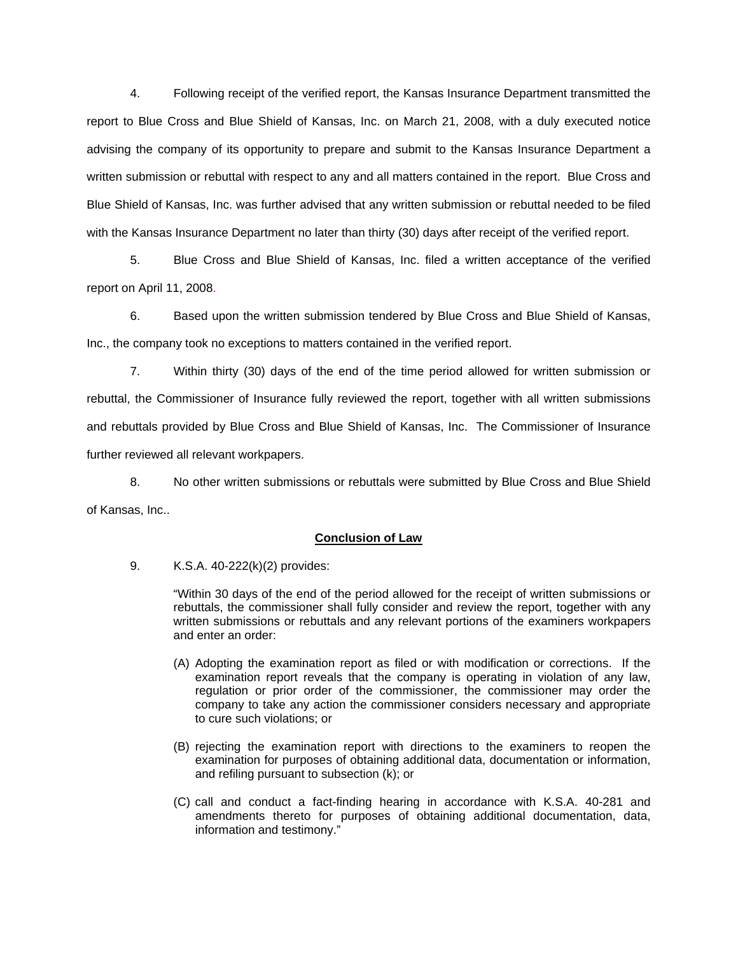4. Following receipt of the verified report, the Kansas Insurance Department transmitted the report to Blue Cross and Blue Shield of Kansas, Inc. on March 21, 2008, with a duly executed notice advising the company of its opportunity to prepare and submit to the Kansas Insurance Department a written submission or rebuttal with respect to any and all matters contained in the report. Blue Cross and Blue Shield of Kansas, Inc. was further advised that any written submission or rebuttal needed to be filed with the Kansas Insurance Department no later than thirty (30) days after receipt of the verified report.

 5. Blue Cross and Blue Shield of Kansas, Inc. filed a written acceptance of the verified report on April 11, 2008.

6. Based upon the written submission tendered by Blue Cross and Blue Shield of Kansas, Inc., the company took no exceptions to matters contained in the verified report.

 7. Within thirty (30) days of the end of the time period allowed for written submission or rebuttal, the Commissioner of Insurance fully reviewed the report, together with all written submissions and rebuttals provided by Blue Cross and Blue Shield of Kansas, Inc. The Commissioner of Insurance further reviewed all relevant workpapers.

 8. No other written submissions or rebuttals were submitted by Blue Cross and Blue Shield of Kansas, Inc..

## **Conclusion of Law**

9. K.S.A. 40-222(k)(2) provides:

"Within 30 days of the end of the period allowed for the receipt of written submissions or rebuttals, the commissioner shall fully consider and review the report, together with any written submissions or rebuttals and any relevant portions of the examiners workpapers and enter an order:

- (A) Adopting the examination report as filed or with modification or corrections. If the examination report reveals that the company is operating in violation of any law, regulation or prior order of the commissioner, the commissioner may order the company to take any action the commissioner considers necessary and appropriate to cure such violations; or
- (B) rejecting the examination report with directions to the examiners to reopen the examination for purposes of obtaining additional data, documentation or information, and refiling pursuant to subsection (k); or
- (C) call and conduct a fact-finding hearing in accordance with K.S.A. 40-281 and amendments thereto for purposes of obtaining additional documentation, data, information and testimony."